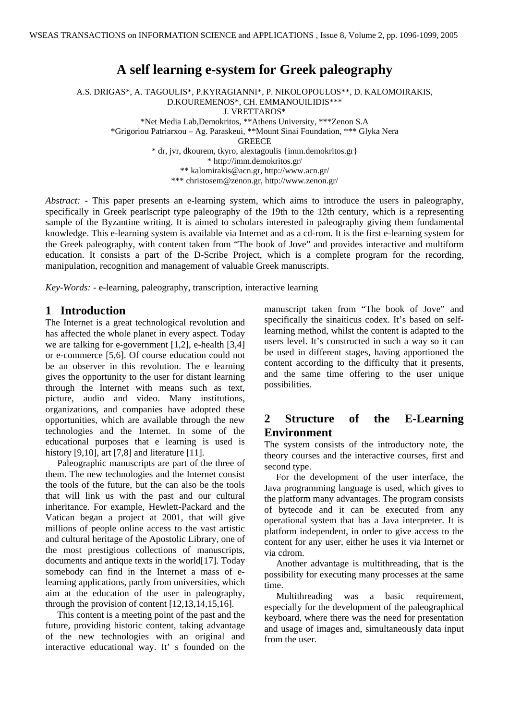# **A self learning e-system for Greek paleography**

A.S. DRIGAS\*, A. TAGOULIS\*, P.KYRAGIANNI\*, P. NIKOLOPOULOS\*\*, D. KALOMOIRAKIS, D.KOUREMENOS\*, CH. EMMANOUILIDIS\*\*\* J. VRETTAROS\* \*Net Media Lab,Demokritos, \*\*Athens University, \*\*\*Zenon S.A \*Grigoriou Patriarxou – Ag. Paraskeui, \*\*Mount Sinai Foundation, \*\*\* Glyka Nera **GREECE** \* dr, jvr, dkourem, tkyro, alextagoulis {imm.demokritos.gr} \* http://imm.demokritos.gr/ \*\* kalomirakis@acn.gr, http://www.acn.gr/ \*\*\* christosem@zenon.gr, http://www.zenon.gr/

*Abstract:* - This paper presents an e-learning system, which aims to introduce the users in paleography, specifically in Greek pearlscript type paleography of the 19th to the 12th century, which is a representing sample of the Byzantine writing. It is aimed to scholars interested in paleography giving them fundamental knowledge. This e-learning system is available via Internet and as a cd-rom. It is the first e-learning system for the Greek paleography, with content taken from "The book of Jove" and provides interactive and multiform education. It consists a part of the D-Scribe Project, which is a complete program for the recording, manipulation, recognition and management of valuable Greek manuscripts.

*Key-Words: -* e-learning, paleography, transcription, interactive learning

## **1 Introduction**

The Internet is a great technological revolution and has affected the whole planet in every aspect. Today we are talking for e-government [1,2], e-health [3,4] or e-commerce [5,6]. Of course education could not be an observer in this revolution. The e learning gives the opportunity to the user for distant learning through the Internet with means such as text, picture, audio and video. Many institutions, organizations, and companies have adopted these opportunities, which are available through the new technologies and the Internet. In some of the educational purposes that e learning is used is history [9,10], art [7,8] and literature [11].

 Paleographic manuscripts are part of the three of them. The new technologies and the Internet consist the tools of the future, but the can also be the tools that will link us with the past and our cultural inheritance. For example, Hewlett-Packard and the Vatican began a project at 2001, that will give millions of people online access to the vast artistic and cultural heritage of the Apostolic Library, one of the most prestigious collections of manuscripts, documents and antique texts in the world[17]. Today somebody can find in the Internet a mass of elearning applications, partly from universities, which aim at the education of the user in paleography, through the provision of content [12,13,14,15,16].

 This content is a meeting point of the past and the future, providing historic content, taking advantage of the new technologies with an original and interactive educational way. It' s founded on the

manuscript taken from "The book of Jove" and specifically the sinaiticus codex. It's based on selflearning method, whilst the content is adapted to the users level. It's constructed in such a way so it can be used in different stages, having apportioned the content according to the difficulty that it presents, and the same time offering to the user unique possibilities.

# **2 Structure of the E-Learning Environment**

The system consists of the introductory note, the theory courses and the interactive courses, first and second type.

 For the development of the user interface, the Java programming language is used, which gives to the platform many advantages. The program consists of bytecode and it can be executed from any operational system that has a Java interpreter. It is platform independent, in order to give access to the content for any user, either he uses it via Internet or via cdrom.

 Another advantage is multithreading, that is the possibility for executing many processes at the same time.

 Multithreading was a basic requirement, especially for the development of the paleographical keyboard, where there was the need for presentation and usage of images and, simultaneously data input from the user.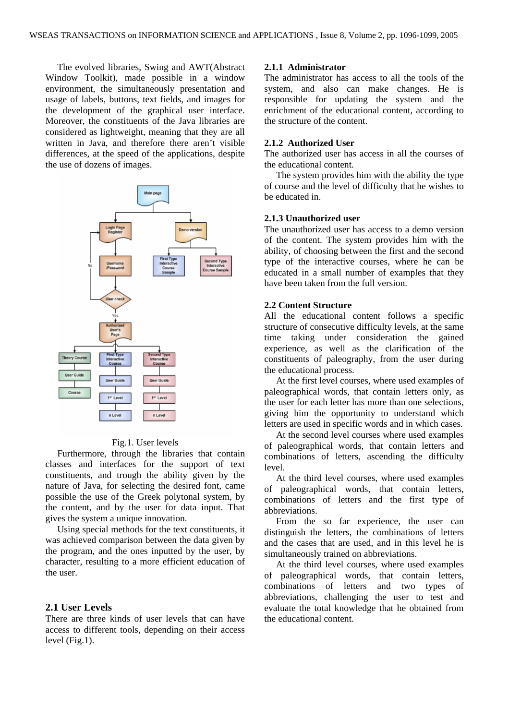The evolved libraries, Swing and AWT(Abstract Window Toolkit), made possible in a window environment, the simultaneously presentation and usage of labels, buttons, text fields, and images for the development of the graphical user interface. Moreover, the constituents of the Java libraries are considered as lightweight, meaning that they are all written in Java, and therefore there aren't visible differences, at the speed of the applications, despite the use of dozens of images.



Fig.1. User levels

 Furthermore, through the libraries that contain classes and interfaces for the support of text constituents, and trough the ability given by the nature of Java, for selecting the desired font, came possible the use of the Greek polytonal system, by the content, and by the user for data input. That gives the system a unique innovation.

 Using special methods for the text constituents, it was achieved comparison between the data given by the program, and the ones inputted by the user, by character, resulting to a more efficient education of the user.

## **2.1 User Levels**

There are three kinds of user levels that can have access to different tools, depending on their access level (Fig.1).

## **2.1.1 Administrator**

The administrator has access to all the tools of the system, and also can make changes. He is responsible for updating the system and the enrichment of the educational content, according to the structure of the content.

### **2.1.2 Authorized User**

The authorized user has access in all the courses of the educational content.

 The system provides him with the ability the type of course and the level of difficulty that he wishes to be educated in.

#### **2.1.3 Unauthorized user**

The unauthorized user has access to a demo version of the content. The system provides him with the ability, of choosing between the first and the second type of the interactive courses, where he can be educated in a small number of examples that they have been taken from the full version.

## **2.2 Content Structure**

All the educational content follows a specific structure of consecutive difficulty levels, at the same time taking under consideration the gained experience, as well as the clarification of the constituents of paleography, from the user during the educational process.

 At the first level courses, where used examples of paleographical words, that contain letters only, as the user for each letter has more than one selections, giving him the opportunity to understand which letters are used in specific words and in which cases.

 At the second level courses where used examples of paleographical words, that contain letters and combinations of letters, ascending the difficulty level.

 At the third level courses, where used examples of paleographical words, that contain letters, combinations of letters and the first type of abbreviations.

 From the so far experience, the user can distinguish the letters, the combinations of letters and the cases that are used, and in this level he is simultaneously trained on abbreviations.

 At the third level courses, where used examples of paleographical words, that contain letters, combinations of letters and two types of abbreviations, challenging the user to test and evaluate the total knowledge that he obtained from the educational content.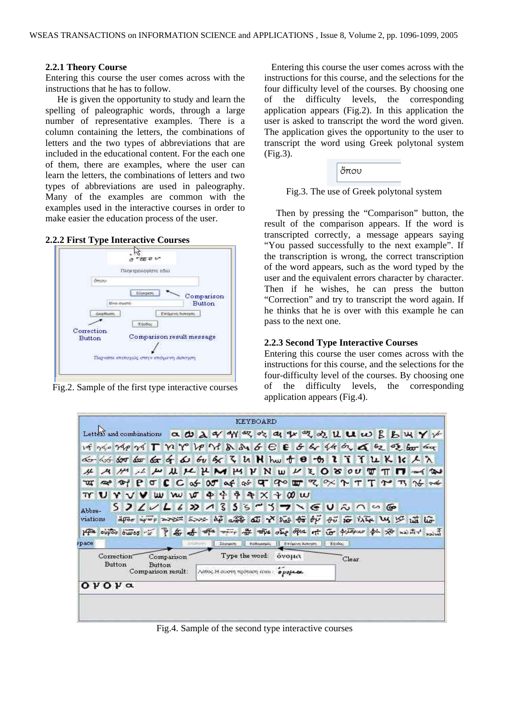#### **2.2.1 Theory Course**

Entering this course the user comes across with the instructions that he has to follow.

 He is given the opportunity to study and learn the spelling of paleographic words, through a large number of representative examples. There is a column containing the letters, the combinations of letters and the two types of abbreviations that are included in the educational content. For the each one of them, there are examples, where the user can learn the letters, the combinations of letters and two types of abbreviations are used in paleography. Many of the examples are common with the examples used in the interactive courses in order to make easier the education process of the user.

### **2.2.2 First Type Interactive Courses**



Fig.2. Sample of the first type interactive courses

 Entering this course the user comes across with the instructions for this course, and the selections for the four difficulty level of the courses. By choosing one of the difficulty levels, the corresponding application appears (Fig.2). In this application the user is asked to transcript the word the word given. The application gives the opportunity to the user to transcript the word using Greek polytonal system (Fig.3).



#### Fig.3. The use of Greek polytonal system

 Then by pressing the "Comparison" button, the result of the comparison appears. If the word is transcripted correctly, a message appears saying "You passed successfully to the next example". If the transcription is wrong, the correct transcription of the word appears, such as the word typed by the user and the equivalent errors character by character. Then if he wishes, he can press the button "Correction" and try to transcript the word again. If he thinks that he is over with this example he can pass to the next one.

#### **2.2.3 Second Type Interactive Courses**

Entering this course the user comes across with the instructions for this course, and the selections for the four-difficulty level of the courses. By choosing one of the difficulty levels, the corresponding application appears (Fig.4).

|                                               |      |                   |        |          |             |                                                                        |                                        |                   | <b>KEYBOARD</b> |  |  |                                                  |  |  |        |  |                    |  |  |                                                                              |  |
|-----------------------------------------------|------|-------------------|--------|----------|-------------|------------------------------------------------------------------------|----------------------------------------|-------------------|-----------------|--|--|--------------------------------------------------|--|--|--------|--|--------------------|--|--|------------------------------------------------------------------------------|--|
|                                               |      |                   |        |          |             |                                                                        |                                        |                   |                 |  |  |                                                  |  |  |        |  |                    |  |  | Letters and combinations a @ 入 ay ey ez ez ey ez ez ey ez ez u w s B B W Y V |  |
|                                               |      |                   |        |          |             | vi gio Megi T n V Ve Vi & & 6 C E 6 de 14 de 4 de 9 de for a           |                                        |                   |                 |  |  |                                                  |  |  |        |  |                    |  |  |                                                                              |  |
|                                               |      |                   |        |          |             | aG dof dor dor dar of du by by < < ln H hw + 0 - 0, l i i i lk k k / \ |                                        |                   |                 |  |  |                                                  |  |  |        |  |                    |  |  |                                                                              |  |
|                                               |      |                   |        |          |             |                                                                        |                                        |                   |                 |  |  |                                                  |  |  |        |  |                    |  |  | A H A H U H H M H Y N W V Z O 8 OU T T T A W                                 |  |
| प्रा                                          |      | $\infty$ of P     |        | $\sigma$ |             |                                                                        |                                        |                   |                 |  |  |                                                  |  |  |        |  |                    |  |  |                                                                              |  |
|                                               | TY U | I Y               | $\vee$ |          | WW W        | ισ                                                                     | $\blacklozenge$                        | $\overline{\phi}$ |                 |  |  | $\rightarrow$ $\times$ $\rightarrow$ 00 $\times$ |  |  |        |  |                    |  |  |                                                                              |  |
| Abbre-                                        |      |                   |        |          |             | 532222682135573716020006                                               |                                        |                   |                 |  |  |                                                  |  |  |        |  |                    |  |  |                                                                              |  |
| viations                                      |      |                   |        |          |             | apor apop are sore ap and all I had to by                              |                                        |                   |                 |  |  |                                                  |  |  |        |  | <b>形向 海山 3 空温临</b> |  |  |                                                                              |  |
|                                               |      | 140 cupos ouvos " |        |          | $\tilde{P}$ | 名。 of open way of one one of the of designar ph so wasted with         |                                        |                   |                 |  |  |                                                  |  |  |        |  |                    |  |  |                                                                              |  |
| space                                         |      |                   |        |          |             | Anohum -                                                               |                                        |                   |                 |  |  | Σύγκριση - Καθαραράς   Επόμενη Ασκηρη - Εξοδύς   |  |  |        |  |                    |  |  |                                                                              |  |
|                                               |      | Correction"       |        |          | Comparison  |                                                                        |                                        |                   |                 |  |  | Type the word: övoµo                             |  |  | Clear: |  |                    |  |  |                                                                              |  |
| <b>Button</b><br>Button<br>Comparison result: |      |                   |        |          |             |                                                                        | Λάθος. Η σωστή πρόταση είναι ο μομ. α. |                   |                 |  |  |                                                  |  |  |        |  |                    |  |  |                                                                              |  |
|                                               |      | Ονονα             |        |          |             |                                                                        |                                        |                   |                 |  |  |                                                  |  |  |        |  |                    |  |  |                                                                              |  |
|                                               |      |                   |        |          |             |                                                                        |                                        |                   |                 |  |  |                                                  |  |  |        |  |                    |  |  |                                                                              |  |
|                                               |      |                   |        |          |             |                                                                        |                                        |                   |                 |  |  |                                                  |  |  |        |  |                    |  |  |                                                                              |  |
|                                               |      |                   |        |          |             |                                                                        |                                        |                   |                 |  |  |                                                  |  |  |        |  |                    |  |  |                                                                              |  |

Fig.4. Sample of the second type interactive courses